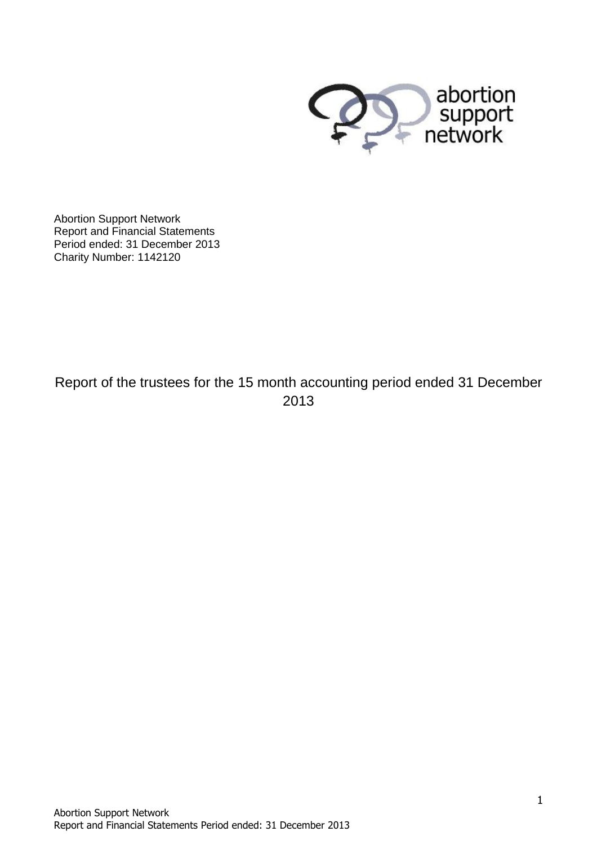

Abortion Support Network Report and Financial Statements Period ended: 31 December 2013 Charity Number: 1142120

Report of the trustees for the 15 month accounting period ended 31 December 2013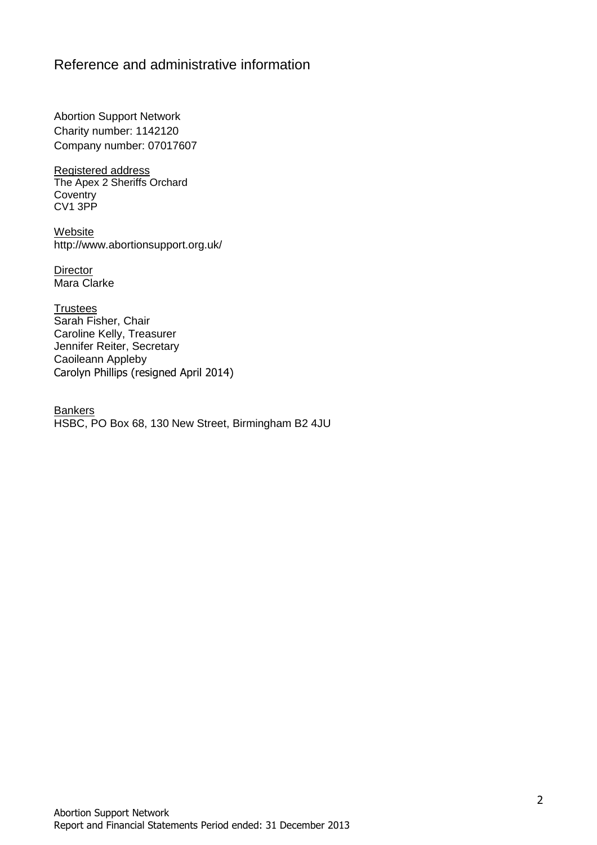### Reference and administrative information

Abortion Support Network Charity number: 1142120 Company number: 07017607

Registered address The Apex 2 Sheriffs Orchard **Coventry** CV1 3PP

**Website** http://www.abortionsupport.org.uk/

**Director** Mara Clarke

**Trustees** Sarah Fisher, Chair Caroline Kelly, Treasurer Jennifer Reiter, Secretary Caoileann Appleby Carolyn Phillips (resigned April 2014)

**Bankers** HSBC, PO Box 68, 130 New Street, Birmingham B2 4JU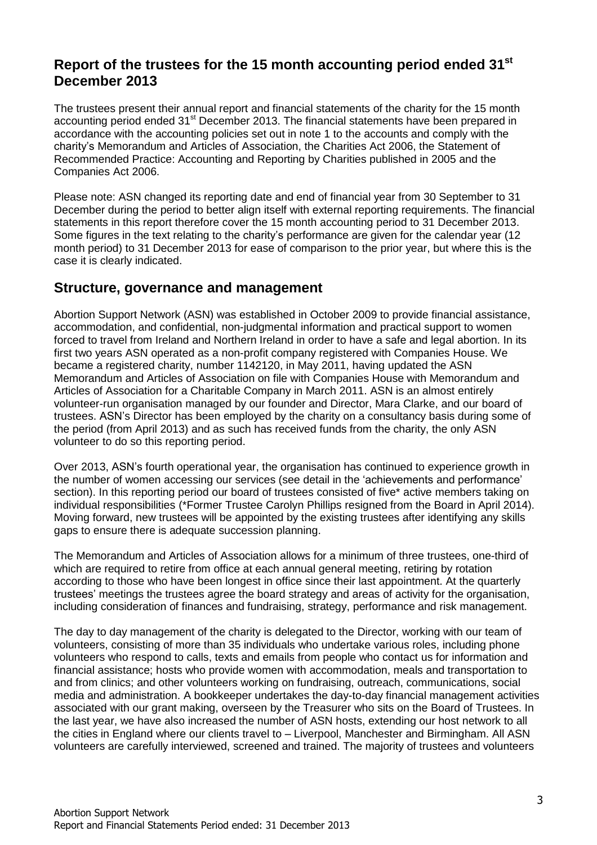## **Report of the trustees for the 15 month accounting period ended 31st December 2013**

The trustees present their annual report and financial statements of the charity for the 15 month accounting period ended 31<sup>st</sup> December 2013. The financial statements have been prepared in accordance with the accounting policies set out in note 1 to the accounts and comply with the charity's Memorandum and Articles of Association, the Charities Act 2006, the Statement of Recommended Practice: Accounting and Reporting by Charities published in 2005 and the Companies Act 2006.

Please note: ASN changed its reporting date and end of financial year from 30 September to 31 December during the period to better align itself with external reporting requirements. The financial statements in this report therefore cover the 15 month accounting period to 31 December 2013. Some figures in the text relating to the charity's performance are given for the calendar year (12 month period) to 31 December 2013 for ease of comparison to the prior year, but where this is the case it is clearly indicated.

### **Structure, governance and management**

Abortion Support Network (ASN) was established in October 2009 to provide financial assistance, accommodation, and confidential, non-judgmental information and practical support to women forced to travel from Ireland and Northern Ireland in order to have a safe and legal abortion. In its first two years ASN operated as a non-profit company registered with Companies House. We became a registered charity, number 1142120, in May 2011, having updated the ASN Memorandum and Articles of Association on file with Companies House with Memorandum and Articles of Association for a Charitable Company in March 2011. ASN is an almost entirely volunteer-run organisation managed by our founder and Director, Mara Clarke, and our board of trustees. ASN's Director has been employed by the charity on a consultancy basis during some of the period (from April 2013) and as such has received funds from the charity, the only ASN volunteer to do so this reporting period.

Over 2013, ASN's fourth operational year, the organisation has continued to experience growth in the number of women accessing our services (see detail in the 'achievements and performance' section). In this reporting period our board of trustees consisted of five\* active members taking on individual responsibilities (\*Former Trustee Carolyn Phillips resigned from the Board in April 2014). Moving forward, new trustees will be appointed by the existing trustees after identifying any skills gaps to ensure there is adequate succession planning.

The Memorandum and Articles of Association allows for a minimum of three trustees, one-third of which are required to retire from office at each annual general meeting, retiring by rotation according to those who have been longest in office since their last appointment. At the quarterly trustees' meetings the trustees agree the board strategy and areas of activity for the organisation, including consideration of finances and fundraising, strategy, performance and risk management.

The day to day management of the charity is delegated to the Director, working with our team of volunteers, consisting of more than 35 individuals who undertake various roles, including phone volunteers who respond to calls, texts and emails from people who contact us for information and financial assistance; hosts who provide women with accommodation, meals and transportation to and from clinics; and other volunteers working on fundraising, outreach, communications, social media and administration. A bookkeeper undertakes the day-to-day financial management activities associated with our grant making, overseen by the Treasurer who sits on the Board of Trustees. In the last year, we have also increased the number of ASN hosts, extending our host network to all the cities in England where our clients travel to – Liverpool, Manchester and Birmingham. All ASN volunteers are carefully interviewed, screened and trained. The majority of trustees and volunteers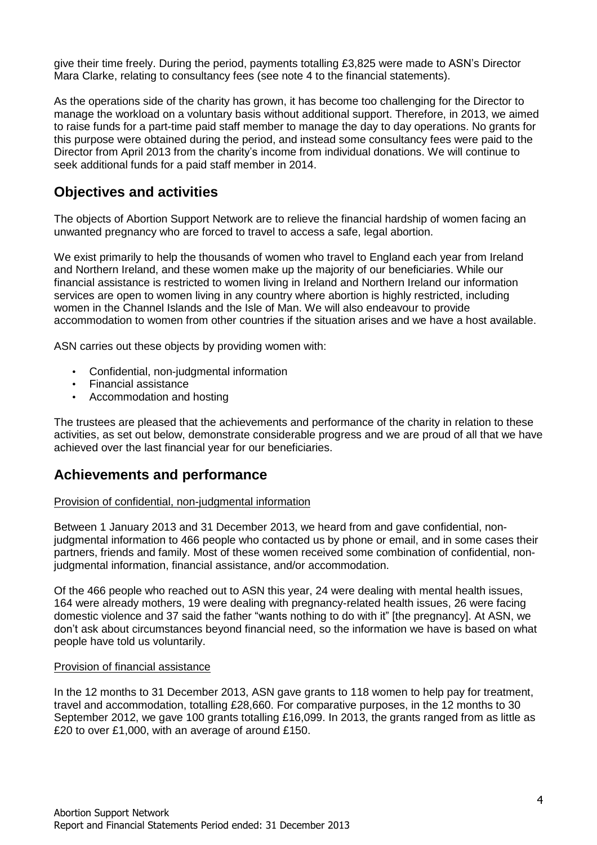give their time freely. During the period, payments totalling £3,825 were made to ASN's Director Mara Clarke, relating to consultancy fees (see note 4 to the financial statements).

As the operations side of the charity has grown, it has become too challenging for the Director to manage the workload on a voluntary basis without additional support. Therefore, in 2013, we aimed to raise funds for a part-time paid staff member to manage the day to day operations. No grants for this purpose were obtained during the period, and instead some consultancy fees were paid to the Director from April 2013 from the charity's income from individual donations. We will continue to seek additional funds for a paid staff member in 2014.

## **Objectives and activities**

The objects of Abortion Support Network are to relieve the financial hardship of women facing an unwanted pregnancy who are forced to travel to access a safe, legal abortion.

We exist primarily to help the thousands of women who travel to England each year from Ireland and Northern Ireland, and these women make up the majority of our beneficiaries. While our financial assistance is restricted to women living in Ireland and Northern Ireland our information services are open to women living in any country where abortion is highly restricted, including women in the Channel Islands and the Isle of Man. We will also endeavour to provide accommodation to women from other countries if the situation arises and we have a host available.

ASN carries out these objects by providing women with:

- Confidential, non-judgmental information
- Financial assistance
- Accommodation and hosting

The trustees are pleased that the achievements and performance of the charity in relation to these activities, as set out below, demonstrate considerable progress and we are proud of all that we have achieved over the last financial year for our beneficiaries.

### **Achievements and performance**

### Provision of confidential, non-judgmental information

Between 1 January 2013 and 31 December 2013, we heard from and gave confidential, nonjudgmental information to 466 people who contacted us by phone or email, and in some cases their partners, friends and family. Most of these women received some combination of confidential, nonjudgmental information, financial assistance, and/or accommodation.

Of the 466 people who reached out to ASN this year, 24 were dealing with mental health issues, 164 were already mothers, 19 were dealing with pregnancy-related health issues, 26 were facing domestic violence and 37 said the father "wants nothing to do with it" [the pregnancy]. At ASN, we don't ask about circumstances beyond financial need, so the information we have is based on what people have told us voluntarily.

#### Provision of financial assistance

In the 12 months to 31 December 2013, ASN gave grants to 118 women to help pay for treatment, travel and accommodation, totalling £28,660. For comparative purposes, in the 12 months to 30 September 2012, we gave 100 grants totalling £16,099. In 2013, the grants ranged from as little as £20 to over £1,000, with an average of around £150.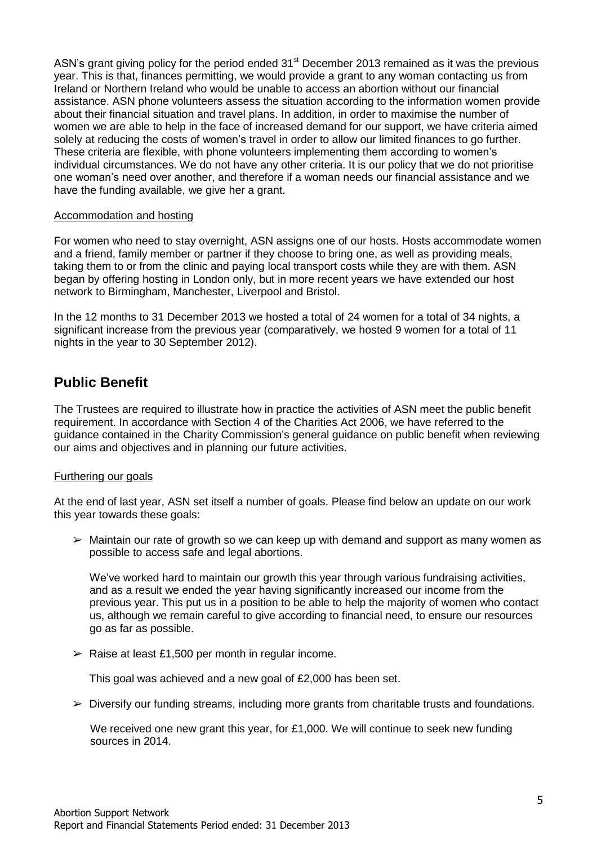ASN's grant giving policy for the period ended 31<sup>st</sup> December 2013 remained as it was the previous year. This is that, finances permitting, we would provide a grant to any woman contacting us from Ireland or Northern Ireland who would be unable to access an abortion without our financial assistance. ASN phone volunteers assess the situation according to the information women provide about their financial situation and travel plans. In addition, in order to maximise the number of women we are able to help in the face of increased demand for our support, we have criteria aimed solely at reducing the costs of women's travel in order to allow our limited finances to go further. These criteria are flexible, with phone volunteers implementing them according to women's individual circumstances. We do not have any other criteria. It is our policy that we do not prioritise one woman's need over another, and therefore if a woman needs our financial assistance and we have the funding available, we give her a grant.

#### Accommodation and hosting

For women who need to stay overnight, ASN assigns one of our hosts. Hosts accommodate women and a friend, family member or partner if they choose to bring one, as well as providing meals, taking them to or from the clinic and paying local transport costs while they are with them. ASN began by offering hosting in London only, but in more recent years we have extended our host network to Birmingham, Manchester, Liverpool and Bristol.

In the 12 months to 31 December 2013 we hosted a total of 24 women for a total of 34 nights, a significant increase from the previous year (comparatively, we hosted 9 women for a total of 11 nights in the year to 30 September 2012).

## **Public Benefit**

The Trustees are required to illustrate how in practice the activities of ASN meet the public benefit requirement. In accordance with Section 4 of the Charities Act 2006, we have referred to the guidance contained in the Charity Commission's general guidance on public benefit when reviewing our aims and objectives and in planning our future activities.

### Furthering our goals

At the end of last year, ASN set itself a number of goals. Please find below an update on our work this year towards these goals:

 $\triangleright$  Maintain our rate of growth so we can keep up with demand and support as many women as possible to access safe and legal abortions.

We've worked hard to maintain our growth this year through various fundraising activities, and as a result we ended the year having significantly increased our income from the previous year. This put us in a position to be able to help the majority of women who contact us, although we remain careful to give according to financial need, to ensure our resources go as far as possible.

 $\geq$  Raise at least £1,500 per month in regular income.

This goal was achieved and a new goal of £2,000 has been set.

 $\triangleright$  Diversify our funding streams, including more grants from charitable trusts and foundations.

We received one new grant this year, for £1,000. We will continue to seek new funding sources in 2014.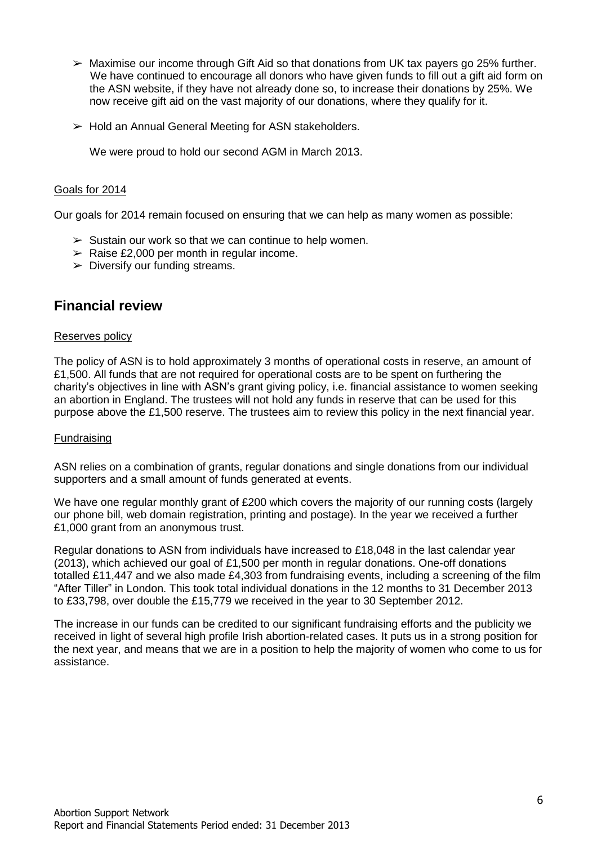- $\triangleright$  Maximise our income through Gift Aid so that donations from UK tax payers go 25% further. We have continued to encourage all donors who have given funds to fill out a gift aid form on the ASN website, if they have not already done so, to increase their donations by 25%. We now receive gift aid on the vast majority of our donations, where they qualify for it.
- $\triangleright$  Hold an Annual General Meeting for ASN stakeholders.

We were proud to hold our second AGM in March 2013.

### Goals for 2014

Our goals for 2014 remain focused on ensuring that we can help as many women as possible:

- $\triangleright$  Sustain our work so that we can continue to help women.
- $\geq$  Raise £2,000 per month in regular income.
- $\triangleright$  Diversify our funding streams.

## **Financial review**

### Reserves policy

The policy of ASN is to hold approximately 3 months of operational costs in reserve, an amount of  $£1,500.$  All funds that are not required for operational costs are to be spent on furthering the charity's objectives in line with ASN's grant giving policy, i.e. financial assistance to women seeking an abortion in England. The trustees will not hold any funds in reserve that can be used for this purpose above the £1,500 reserve. The trustees aim to review this policy in the next financial year.

### Fundraising

ASN relies on a combination of grants, regular donations and single donations from our individual supporters and a small amount of funds generated at events.

We have one regular monthly grant of £200 which covers the majority of our running costs (largely our phone bill, web domain registration, printing and postage). In the year we received a further £1,000 grant from an anonymous trust.

Regular donations to ASN from individuals have increased to £18,048 in the last calendar year (2013), which achieved our goal of £1,500 per month in regular donations. One-off donations totalled £11,447 and we also made £4,303 from fundraising events, including a screening of the film "After Tiller" in London. This took total individual donations in the 12 months to 31 December 2013 to £33,798, over double the £15,779 we received in the year to 30 September 2012.

The increase in our funds can be credited to our significant fundraising efforts and the publicity we received in light of several high profile Irish abortion-related cases. It puts us in a strong position for the next year, and means that we are in a position to help the majority of women who come to us for assistance.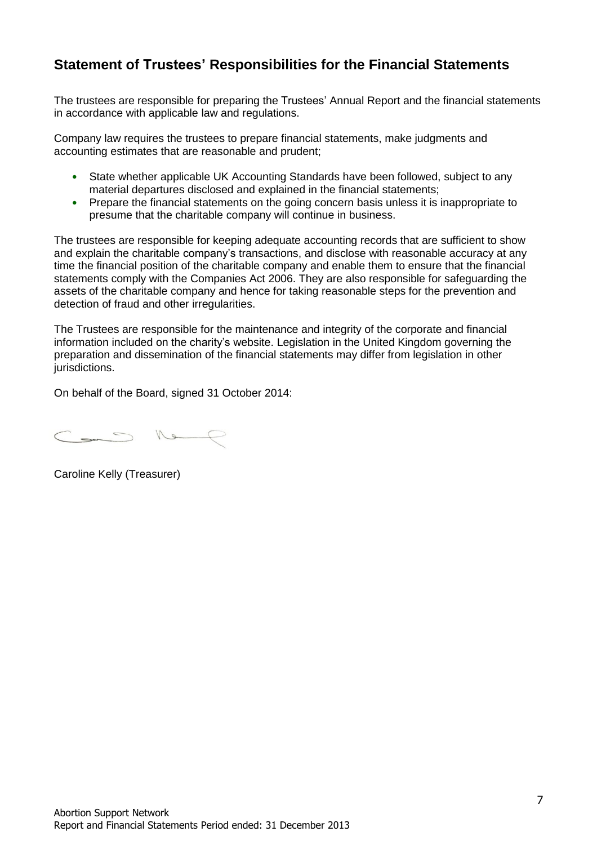# **Statement of Trustees' Responsibilities for the Financial Statements**

The trustees are responsible for preparing the Trustees' Annual Report and the financial statements in accordance with applicable law and regulations.

Company law requires the trustees to prepare financial statements, make judgments and accounting estimates that are reasonable and prudent;

- State whether applicable UK Accounting Standards have been followed, subject to any material departures disclosed and explained in the financial statements;
- Prepare the financial statements on the going concern basis unless it is inappropriate to presume that the charitable company will continue in business.

The trustees are responsible for keeping adequate accounting records that are sufficient to show and explain the charitable company's transactions, and disclose with reasonable accuracy at any time the financial position of the charitable company and enable them to ensure that the financial statements comply with the Companies Act 2006. They are also responsible for safeguarding the assets of the charitable company and hence for taking reasonable steps for the prevention and detection of fraud and other irregularities.

The Trustees are responsible for the maintenance and integrity of the corporate and financial information included on the charity's website. Legislation in the United Kingdom governing the preparation and dissemination of the financial statements may differ from legislation in other jurisdictions.

On behalf of the Board, signed 31 October 2014:

 $\sim$  16

Caroline Kelly (Treasurer)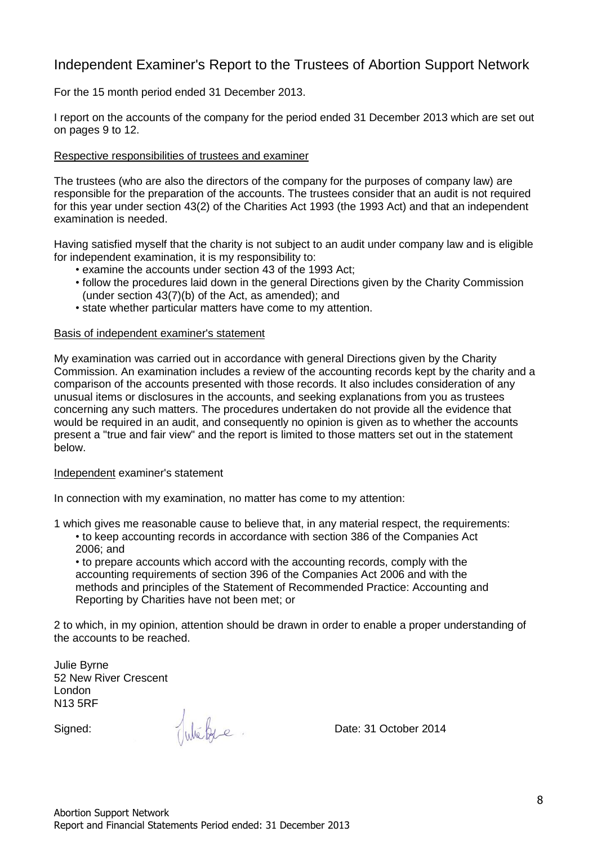## Independent Examiner's Report to the Trustees of Abortion Support Network

For the 15 month period ended 31 December 2013.

I report on the accounts of the company for the period ended 31 December 2013 which are set out on pages 9 to 12.

#### Respective responsibilities of trustees and examiner

The trustees (who are also the directors of the company for the purposes of company law) are responsible for the preparation of the accounts. The trustees consider that an audit is not required for this year under section 43(2) of the Charities Act 1993 (the 1993 Act) and that an independent examination is needed.

Having satisfied myself that the charity is not subject to an audit under company law and is eligible for independent examination, it is my responsibility to:

- examine the accounts under section 43 of the 1993 Act;
- follow the procedures laid down in the general Directions given by the Charity Commission (under section 43(7)(b) of the Act, as amended); and
- state whether particular matters have come to my attention.

#### Basis of independent examiner's statement

My examination was carried out in accordance with general Directions given by the Charity Commission. An examination includes a review of the accounting records kept by the charity and a comparison of the accounts presented with those records. It also includes consideration of any unusual items or disclosures in the accounts, and seeking explanations from you as trustees concerning any such matters. The procedures undertaken do not provide all the evidence that would be required in an audit, and consequently no opinion is given as to whether the accounts present a "true and fair view" and the report is limited to those matters set out in the statement below.

#### Independent examiner's statement

In connection with my examination, no matter has come to my attention:

1 which gives me reasonable cause to believe that, in any material respect, the requirements:

• to keep accounting records in accordance with section 386 of the Companies Act 2006; and

• to prepare accounts which accord with the accounting records, comply with the accounting requirements of section 396 of the Companies Act 2006 and with the methods and principles of the Statement of Recommended Practice: Accounting and Reporting by Charities have not been met; or

2 to which, in my opinion, attention should be drawn in order to enable a proper understanding of the accounts to be reached.

Julie Byrne 52 New River Crescent London N13 5RF

Signed: We by e Date: 31 October 2014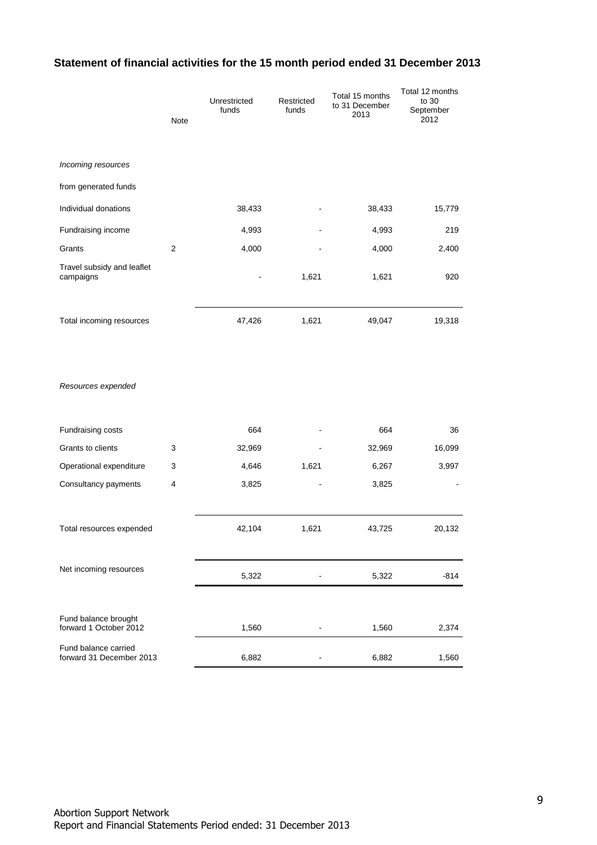### **Statement of financial activities for the 15 month period ended 31 December 2013**

|                                                  | <b>Note</b>      | Unrestricted<br>funds | Restricted<br>funds | Total 15 months<br>to 31 December<br>2013 | Total 12 months<br>to 30<br>September<br>2012 |
|--------------------------------------------------|------------------|-----------------------|---------------------|-------------------------------------------|-----------------------------------------------|
| Incoming resources                               |                  |                       |                     |                                           |                                               |
| from generated funds                             |                  |                       |                     |                                           |                                               |
| Individual donations                             |                  | 38,433                |                     | 38,433                                    | 15,779                                        |
| Fundraising income                               |                  | 4,993                 |                     | 4,993                                     | 219                                           |
| Grants                                           | $\boldsymbol{2}$ | 4,000                 |                     | 4,000                                     | 2,400                                         |
| Travel subsidy and leaflet<br>campaigns          |                  |                       | 1,621               | 1,621                                     | 920                                           |
| Total incoming resources                         |                  | 47,426                | 1,621               | 49,047                                    | 19,318                                        |
| Resources expended                               |                  |                       |                     |                                           |                                               |
| Fundraising costs                                |                  | 664                   |                     | 664                                       | 36                                            |
| Grants to clients                                | 3                | 32,969                |                     | 32,969                                    | 16,099                                        |
| Operational expenditure                          | 3                | 4,646                 | 1,621               | 6,267                                     | 3,997                                         |
| Consultancy payments                             | 4                | 3,825                 |                     | 3,825                                     |                                               |
| Total resources expended                         |                  | 42,104                | 1,621               | 43,725                                    | 20,132                                        |
| Net incoming resources                           |                  | 5,322                 |                     | 5,322                                     | $-814$                                        |
| Fund balance brought<br>forward 1 October 2012   |                  | 1,560                 | -                   | 1,560                                     | 2,374                                         |
| Fund balance carried<br>forward 31 December 2013 |                  | 6,882                 | -                   | 6,882                                     | 1,560                                         |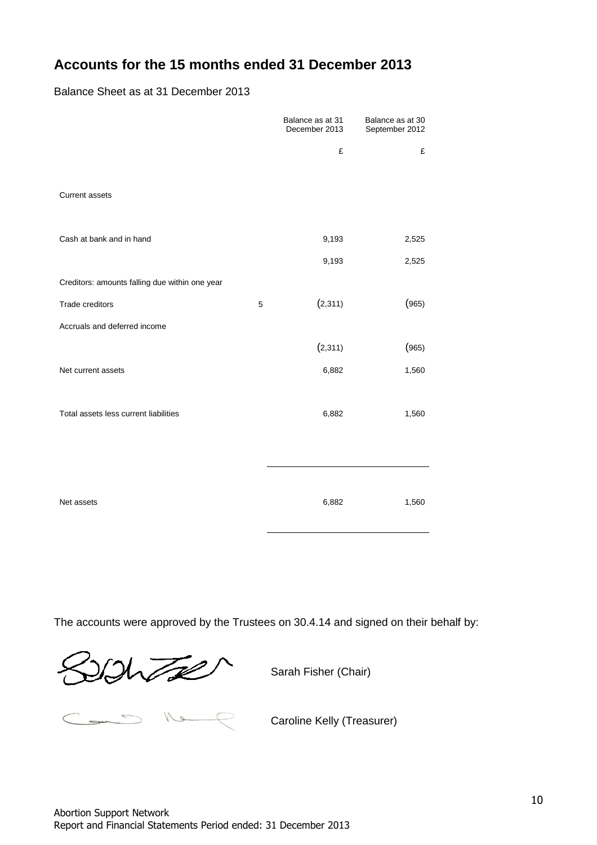# **Accounts for the 15 months ended 31 December 2013**

Balance Sheet as at 31 December 2013

|                                                |   | Balance as at 31<br>December 2013 | Balance as at 30<br>September 2012 |
|------------------------------------------------|---|-----------------------------------|------------------------------------|
|                                                |   | £                                 | £                                  |
| Current assets                                 |   |                                   |                                    |
| Cash at bank and in hand                       |   | 9,193                             | 2,525                              |
|                                                |   | 9,193                             | 2,525                              |
| Creditors: amounts falling due within one year |   |                                   |                                    |
| Trade creditors                                | 5 | (2,311)                           | (965)                              |
| Accruals and deferred income                   |   |                                   |                                    |
|                                                |   | (2,311)                           | (965)                              |
| Net current assets                             |   | 6,882                             | 1,560                              |
|                                                |   |                                   |                                    |
| Total assets less current liabilities          |   | 6,882                             | 1,560                              |
|                                                |   |                                   |                                    |
|                                                |   |                                   |                                    |
| Net assets                                     |   | 6,882                             | 1,560                              |

The accounts were approved by the Trustees on 30.4.14 and signed on their behalf by:

Sarah Fisher (Chair)

Caroline Kelly (Treasurer) Caroline Kelly (Treasurer)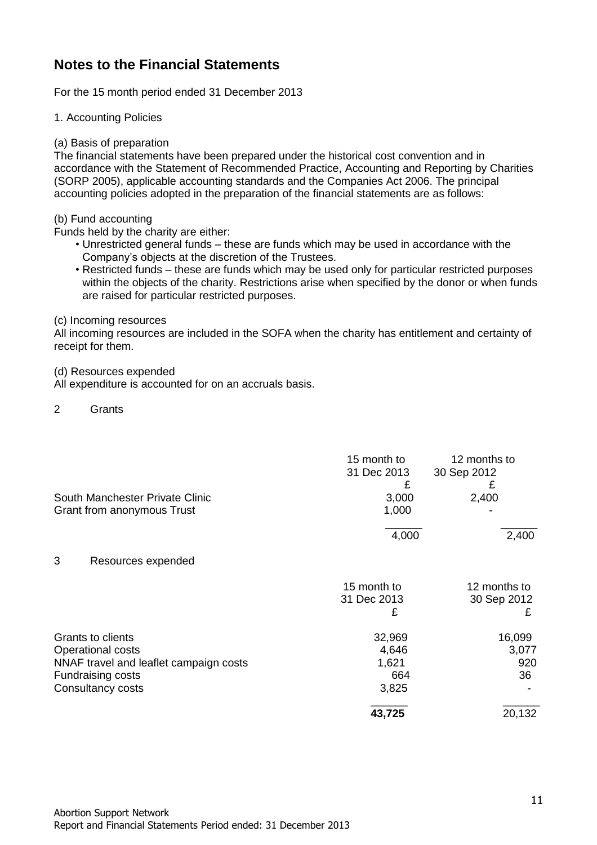# **Notes to the Financial Statements**

For the 15 month period ended 31 December 2013

1. Accounting Policies

(a) Basis of preparation

The financial statements have been prepared under the historical cost convention and in accordance with the Statement of Recommended Practice, Accounting and Reporting by Charities (SORP 2005), applicable accounting standards and the Companies Act 2006. The principal accounting policies adopted in the preparation of the financial statements are as follows:

(b) Fund accounting

Funds held by the charity are either:

- Unrestricted general funds these are funds which may be used in accordance with the Company's objects at the discretion of the Trustees.
- Restricted funds these are funds which may be used only for particular restricted purposes within the objects of the charity. Restrictions arise when specified by the donor or when funds are raised for particular restricted purposes.

(c) Incoming resources

All incoming resources are included in the SOFA when the charity has entitlement and certainty of receipt for them.

(d) Resources expended

All expenditure is accounted for on an accruals basis.

2 Grants

|                                        | 15 month to<br>31 Dec 2013 | 12 months to<br>30 Sep 2012 |
|----------------------------------------|----------------------------|-----------------------------|
|                                        | £                          | £                           |
| South Manchester Private Clinic        | 3,000                      | 2,400                       |
| Grant from anonymous Trust             | 1,000                      |                             |
|                                        | 4,000                      | 2,400                       |
| 3<br>Resources expended                |                            |                             |
|                                        | 15 month to                | 12 months to                |
|                                        | 31 Dec 2013                | 30 Sep 2012                 |
|                                        | £                          | £                           |
| Grants to clients                      | 32,969                     | 16,099                      |
| Operational costs                      | 4,646                      | 3,077                       |
| NNAF travel and leaflet campaign costs | 1,621                      | 920                         |
| Fundraising costs                      | 664                        | 36                          |
| Consultancy costs                      | 3,825                      |                             |
|                                        | 43,725                     | 20,132                      |